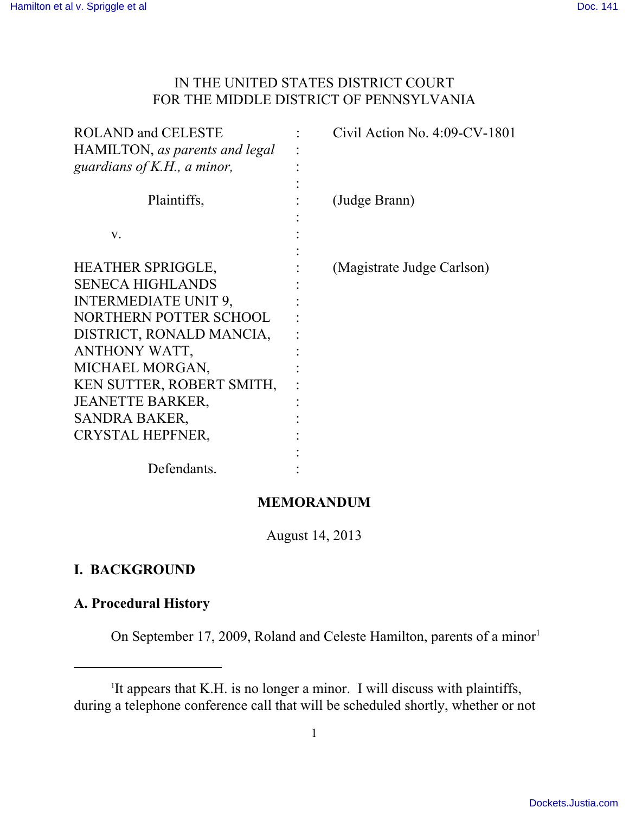### IN THE UNITED STATES DISTRICT COURT FOR THE MIDDLE DISTRICT OF PENNSYLVANIA

| <b>ROLAND and CELESTE</b><br>HAMILTON, as parents and legal<br>guardians of $K.H., a minor,$                                                                                                                                                                              | Civil Action No. $4:09$ -CV-1801 |
|---------------------------------------------------------------------------------------------------------------------------------------------------------------------------------------------------------------------------------------------------------------------------|----------------------------------|
| Plaintiffs,                                                                                                                                                                                                                                                               | (Judge Brann)                    |
| V.                                                                                                                                                                                                                                                                        |                                  |
| HEATHER SPRIGGLE,<br><b>SENECA HIGHLANDS</b><br><b>INTERMEDIATE UNIT 9,</b><br>NORTHERN POTTER SCHOOL<br>DISTRICT, RONALD MANCIA,<br>ANTHONY WATT,<br>MICHAEL MORGAN,<br>KEN SUTTER, ROBERT SMITH,<br><b>JEANETTE BARKER,</b><br>SANDRA BAKER,<br><b>CRYSTAL HEPFNER,</b> | (Magistrate Judge Carlson)       |
| Defendants.                                                                                                                                                                                                                                                               |                                  |

### **MEMORANDUM**

August 14, 2013

# **I. BACKGROUND**

## **A. Procedural History**

On September 17, 2009, Roland and Celeste Hamilton, parents of a minor<sup>1</sup>

<sup>&</sup>lt;sup>1</sup>It appears that K.H. is no longer a minor. I will discuss with plaintiffs, during a telephone conference call that will be scheduled shortly, whether or not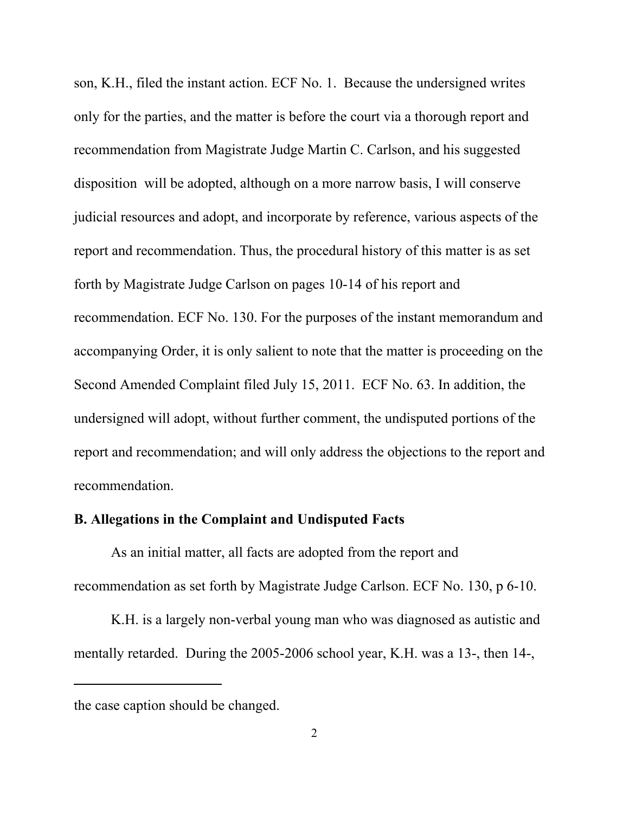son, K.H., filed the instant action. ECF No. 1. Because the undersigned writes only for the parties, and the matter is before the court via a thorough report and recommendation from Magistrate Judge Martin C. Carlson, and his suggested disposition will be adopted, although on a more narrow basis, I will conserve judicial resources and adopt, and incorporate by reference, various aspects of the report and recommendation. Thus, the procedural history of this matter is as set forth by Magistrate Judge Carlson on pages 10-14 of his report and recommendation. ECF No. 130. For the purposes of the instant memorandum and accompanying Order, it is only salient to note that the matter is proceeding on the Second Amended Complaint filed July 15, 2011. ECF No. 63. In addition, the undersigned will adopt, without further comment, the undisputed portions of the report and recommendation; and will only address the objections to the report and recommendation.

#### **B. Allegations in the Complaint and Undisputed Facts**

As an initial matter, all facts are adopted from the report and recommendation as set forth by Magistrate Judge Carlson. ECF No. 130, p 6-10.

K.H. is a largely non-verbal young man who was diagnosed as autistic and mentally retarded. During the 2005-2006 school year, K.H. was a 13-, then 14-,

the case caption should be changed.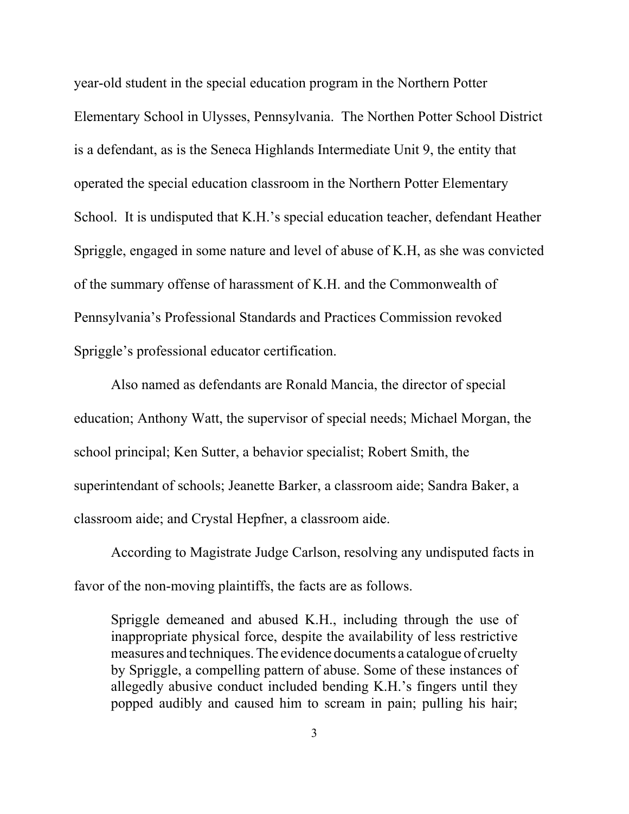year-old student in the special education program in the Northern Potter Elementary School in Ulysses, Pennsylvania. The Northen Potter School District is a defendant, as is the Seneca Highlands Intermediate Unit 9, the entity that operated the special education classroom in the Northern Potter Elementary School. It is undisputed that K.H.'s special education teacher, defendant Heather Spriggle, engaged in some nature and level of abuse of K.H, as she was convicted of the summary offense of harassment of K.H. and the Commonwealth of Pennsylvania's Professional Standards and Practices Commission revoked Spriggle's professional educator certification.

Also named as defendants are Ronald Mancia, the director of special education; Anthony Watt, the supervisor of special needs; Michael Morgan, the school principal; Ken Sutter, a behavior specialist; Robert Smith, the superintendant of schools; Jeanette Barker, a classroom aide; Sandra Baker, a classroom aide; and Crystal Hepfner, a classroom aide.

According to Magistrate Judge Carlson, resolving any undisputed facts in favor of the non-moving plaintiffs, the facts are as follows.

Spriggle demeaned and abused K.H., including through the use of inappropriate physical force, despite the availability of less restrictive measures and techniques. The evidence documents a catalogue of cruelty by Spriggle, a compelling pattern of abuse. Some of these instances of allegedly abusive conduct included bending K.H.'s fingers until they popped audibly and caused him to scream in pain; pulling his hair;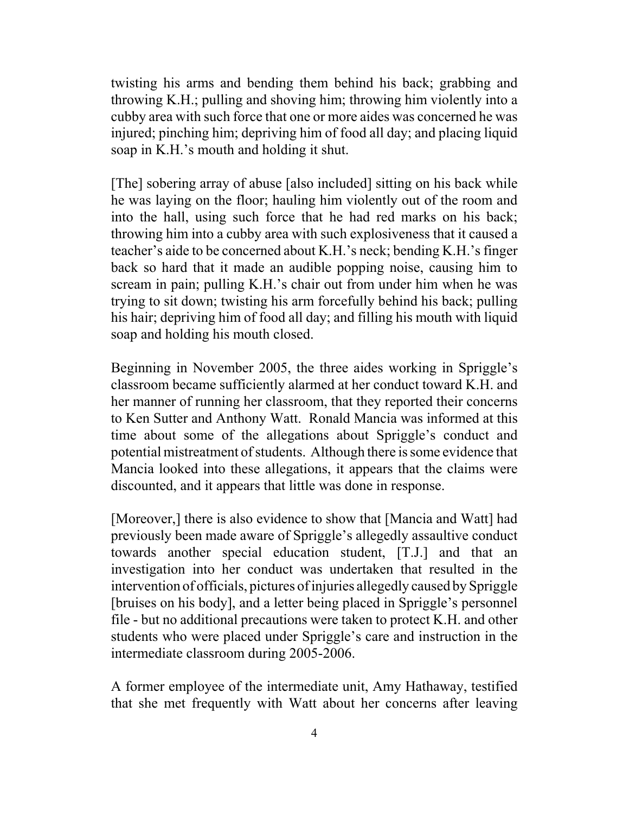twisting his arms and bending them behind his back; grabbing and throwing K.H.; pulling and shoving him; throwing him violently into a cubby area with such force that one or more aides was concerned he was injured; pinching him; depriving him of food all day; and placing liquid soap in K.H.'s mouth and holding it shut.

[The] sobering array of abuse [also included] sitting on his back while he was laying on the floor; hauling him violently out of the room and into the hall, using such force that he had red marks on his back; throwing him into a cubby area with such explosiveness that it caused a teacher's aide to be concerned about K.H.'s neck; bending K.H.'s finger back so hard that it made an audible popping noise, causing him to scream in pain; pulling K.H.'s chair out from under him when he was trying to sit down; twisting his arm forcefully behind his back; pulling his hair; depriving him of food all day; and filling his mouth with liquid soap and holding his mouth closed.

Beginning in November 2005, the three aides working in Spriggle's classroom became sufficiently alarmed at her conduct toward K.H. and her manner of running her classroom, that they reported their concerns to Ken Sutter and Anthony Watt. Ronald Mancia was informed at this time about some of the allegations about Spriggle's conduct and potential mistreatment of students. Although there is some evidence that Mancia looked into these allegations, it appears that the claims were discounted, and it appears that little was done in response.

[Moreover,] there is also evidence to show that [Mancia and Watt] had previously been made aware of Spriggle's allegedly assaultive conduct towards another special education student, [T.J.] and that an investigation into her conduct was undertaken that resulted in the intervention of officials, pictures of injuries allegedly caused by Spriggle [bruises on his body], and a letter being placed in Spriggle's personnel file - but no additional precautions were taken to protect K.H. and other students who were placed under Spriggle's care and instruction in the intermediate classroom during 2005-2006.

A former employee of the intermediate unit, Amy Hathaway, testified that she met frequently with Watt about her concerns after leaving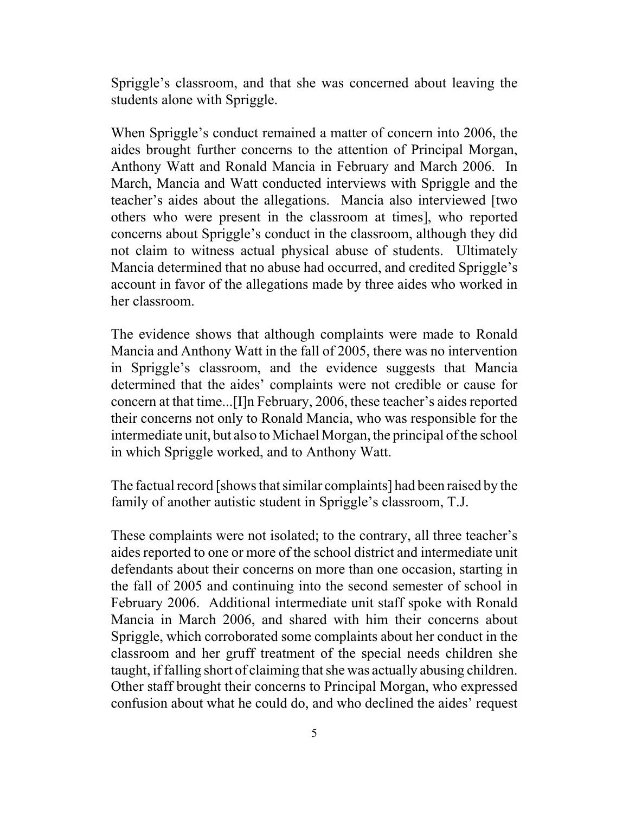Spriggle's classroom, and that she was concerned about leaving the students alone with Spriggle.

When Spriggle's conduct remained a matter of concern into 2006, the aides brought further concerns to the attention of Principal Morgan, Anthony Watt and Ronald Mancia in February and March 2006. In March, Mancia and Watt conducted interviews with Spriggle and the teacher's aides about the allegations. Mancia also interviewed [two others who were present in the classroom at times], who reported concerns about Spriggle's conduct in the classroom, although they did not claim to witness actual physical abuse of students. Ultimately Mancia determined that no abuse had occurred, and credited Spriggle's account in favor of the allegations made by three aides who worked in her classroom.

The evidence shows that although complaints were made to Ronald Mancia and Anthony Watt in the fall of 2005, there was no intervention in Spriggle's classroom, and the evidence suggests that Mancia determined that the aides' complaints were not credible or cause for concern at that time...[I]n February, 2006, these teacher's aides reported their concerns not only to Ronald Mancia, who was responsible for the intermediate unit, but also to Michael Morgan, the principal of the school in which Spriggle worked, and to Anthony Watt.

The factual record [shows that similar complaints] had been raised by the family of another autistic student in Spriggle's classroom, T.J.

These complaints were not isolated; to the contrary, all three teacher's aides reported to one or more of the school district and intermediate unit defendants about their concerns on more than one occasion, starting in the fall of 2005 and continuing into the second semester of school in February 2006. Additional intermediate unit staff spoke with Ronald Mancia in March 2006, and shared with him their concerns about Spriggle, which corroborated some complaints about her conduct in the classroom and her gruff treatment of the special needs children she taught, if falling short of claiming that she was actually abusing children. Other staff brought their concerns to Principal Morgan, who expressed confusion about what he could do, and who declined the aides' request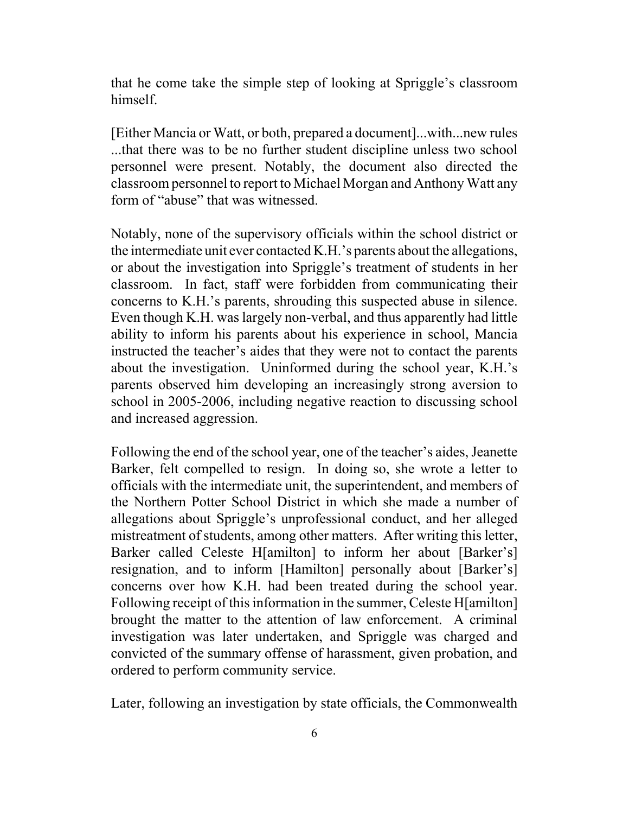that he come take the simple step of looking at Spriggle's classroom himself.

[Either Mancia or Watt, or both, prepared a document]...with...new rules ...that there was to be no further student discipline unless two school personnel were present. Notably, the document also directed the classroom personnel to report to Michael Morgan and Anthony Watt any form of "abuse" that was witnessed.

Notably, none of the supervisory officials within the school district or the intermediate unit ever contacted K.H.'s parents about the allegations, or about the investigation into Spriggle's treatment of students in her classroom. In fact, staff were forbidden from communicating their concerns to K.H.'s parents, shrouding this suspected abuse in silence. Even though K.H. was largely non-verbal, and thus apparently had little ability to inform his parents about his experience in school, Mancia instructed the teacher's aides that they were not to contact the parents about the investigation. Uninformed during the school year, K.H.'s parents observed him developing an increasingly strong aversion to school in 2005-2006, including negative reaction to discussing school and increased aggression.

Following the end of the school year, one of the teacher's aides, Jeanette Barker, felt compelled to resign. In doing so, she wrote a letter to officials with the intermediate unit, the superintendent, and members of the Northern Potter School District in which she made a number of allegations about Spriggle's unprofessional conduct, and her alleged mistreatment of students, among other matters. After writing this letter, Barker called Celeste H[amilton] to inform her about [Barker's] resignation, and to inform [Hamilton] personally about [Barker's] concerns over how K.H. had been treated during the school year. Following receipt of this information in the summer, Celeste H[amilton] brought the matter to the attention of law enforcement. A criminal investigation was later undertaken, and Spriggle was charged and convicted of the summary offense of harassment, given probation, and ordered to perform community service.

Later, following an investigation by state officials, the Commonwealth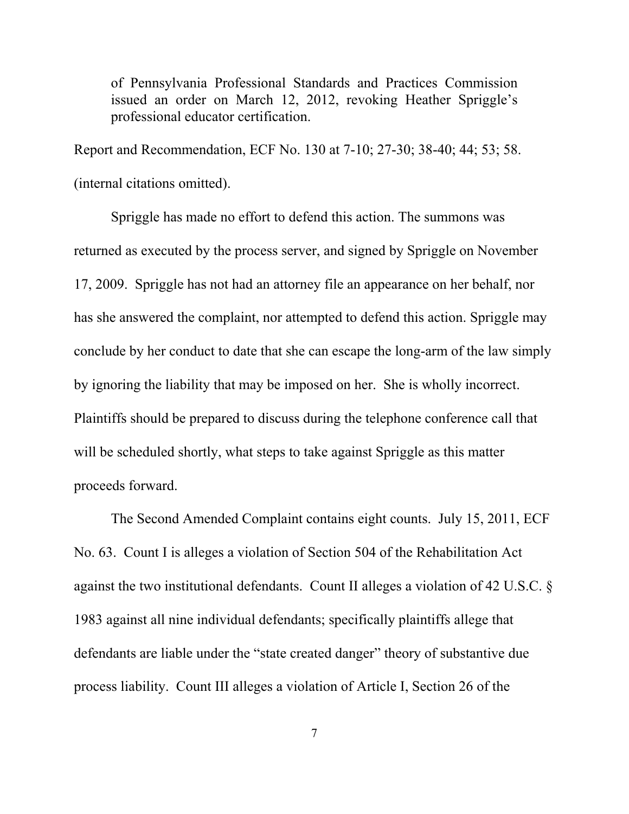of Pennsylvania Professional Standards and Practices Commission issued an order on March 12, 2012, revoking Heather Spriggle's professional educator certification.

Report and Recommendation, ECF No. 130 at 7-10; 27-30; 38-40; 44; 53; 58. (internal citations omitted).

Spriggle has made no effort to defend this action. The summons was returned as executed by the process server, and signed by Spriggle on November 17, 2009. Spriggle has not had an attorney file an appearance on her behalf, nor has she answered the complaint, nor attempted to defend this action. Spriggle may conclude by her conduct to date that she can escape the long-arm of the law simply by ignoring the liability that may be imposed on her. She is wholly incorrect. Plaintiffs should be prepared to discuss during the telephone conference call that will be scheduled shortly, what steps to take against Spriggle as this matter proceeds forward.

The Second Amended Complaint contains eight counts. July 15, 2011, ECF No. 63. Count I is alleges a violation of Section 504 of the Rehabilitation Act against the two institutional defendants. Count II alleges a violation of 42 U.S.C. § 1983 against all nine individual defendants; specifically plaintiffs allege that defendants are liable under the "state created danger" theory of substantive due process liability. Count III alleges a violation of Article I, Section 26 of the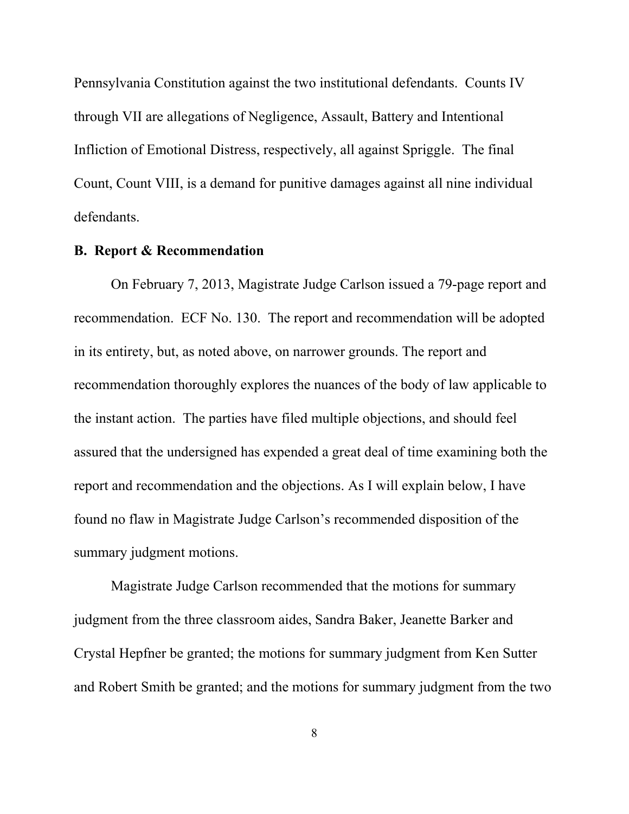Pennsylvania Constitution against the two institutional defendants. Counts IV through VII are allegations of Negligence, Assault, Battery and Intentional Infliction of Emotional Distress, respectively, all against Spriggle. The final Count, Count VIII, is a demand for punitive damages against all nine individual defendants.

## **B. Report & Recommendation**

On February 7, 2013, Magistrate Judge Carlson issued a 79-page report and recommendation. ECF No. 130. The report and recommendation will be adopted in its entirety, but, as noted above, on narrower grounds. The report and recommendation thoroughly explores the nuances of the body of law applicable to the instant action. The parties have filed multiple objections, and should feel assured that the undersigned has expended a great deal of time examining both the report and recommendation and the objections. As I will explain below, I have found no flaw in Magistrate Judge Carlson's recommended disposition of the summary judgment motions.

Magistrate Judge Carlson recommended that the motions for summary judgment from the three classroom aides, Sandra Baker, Jeanette Barker and Crystal Hepfner be granted; the motions for summary judgment from Ken Sutter and Robert Smith be granted; and the motions for summary judgment from the two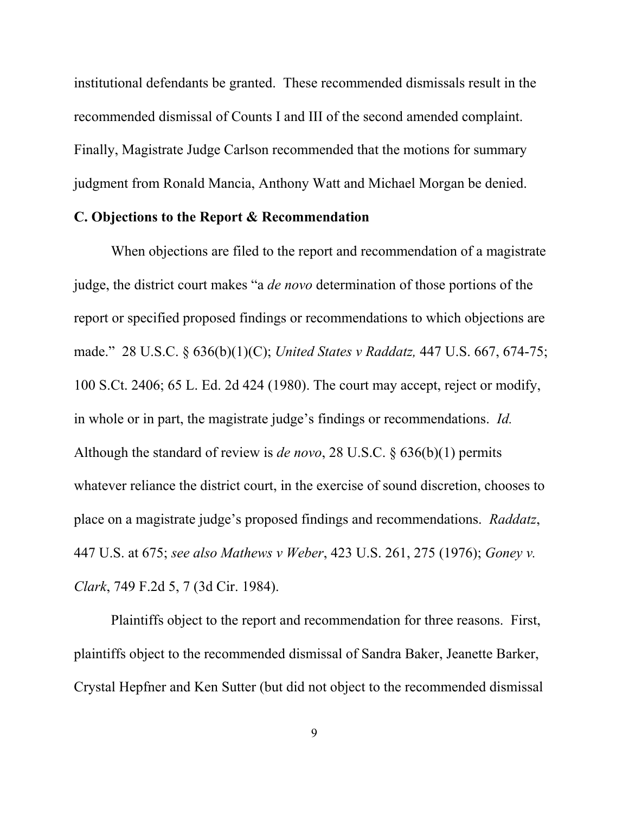institutional defendants be granted. These recommended dismissals result in the recommended dismissal of Counts I and III of the second amended complaint. Finally, Magistrate Judge Carlson recommended that the motions for summary judgment from Ronald Mancia, Anthony Watt and Michael Morgan be denied.

#### **C. Objections to the Report & Recommendation**

When objections are filed to the report and recommendation of a magistrate judge, the district court makes "a *de novo* determination of those portions of the report or specified proposed findings or recommendations to which objections are made." 28 U.S.C. § 636(b)(1)(C); *United States v Raddatz,* 447 U.S. 667, 674-75; 100 S.Ct. 2406; 65 L. Ed. 2d 424 (1980). The court may accept, reject or modify, in whole or in part, the magistrate judge's findings or recommendations. *Id.* Although the standard of review is *de novo*, 28 U.S.C. § 636(b)(1) permits whatever reliance the district court, in the exercise of sound discretion, chooses to place on a magistrate judge's proposed findings and recommendations. *Raddatz*, 447 U.S. at 675; *see also Mathews v Weber*, 423 U.S. 261, 275 (1976); *Goney v. Clark*, 749 F.2d 5, 7 (3d Cir. 1984).

Plaintiffs object to the report and recommendation for three reasons. First, plaintiffs object to the recommended dismissal of Sandra Baker, Jeanette Barker, Crystal Hepfner and Ken Sutter (but did not object to the recommended dismissal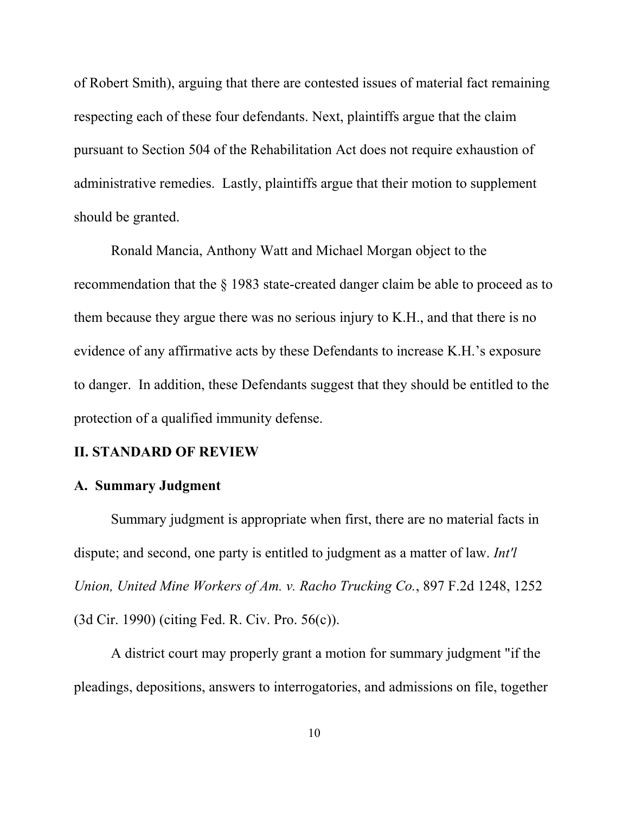of Robert Smith), arguing that there are contested issues of material fact remaining respecting each of these four defendants. Next, plaintiffs argue that the claim pursuant to Section 504 of the Rehabilitation Act does not require exhaustion of administrative remedies. Lastly, plaintiffs argue that their motion to supplement should be granted.

Ronald Mancia, Anthony Watt and Michael Morgan object to the recommendation that the § 1983 state-created danger claim be able to proceed as to them because they argue there was no serious injury to K.H., and that there is no evidence of any affirmative acts by these Defendants to increase K.H.'s exposure to danger. In addition, these Defendants suggest that they should be entitled to the protection of a qualified immunity defense.

### **II. STANDARD OF REVIEW**

#### **A. Summary Judgment**

Summary judgment is appropriate when first, there are no material facts in dispute; and second, one party is entitled to judgment as a matter of law. *Int'l Union, United Mine Workers of Am. v. Racho Trucking Co.*, 897 F.2d 1248, 1252 (3d Cir. 1990) (citing Fed. R. Civ. Pro. 56(c)).

A district court may properly grant a motion for summary judgment "if the pleadings, depositions, answers to interrogatories, and admissions on file, together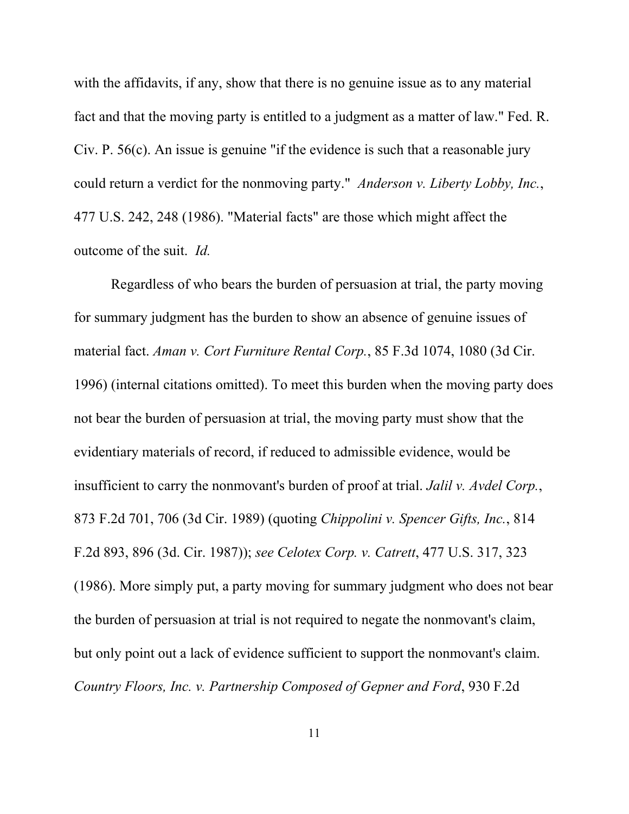with the affidavits, if any, show that there is no genuine issue as to any material fact and that the moving party is entitled to a judgment as a matter of law." Fed. R. Civ. P. 56(c). An issue is genuine "if the evidence is such that a reasonable jury could return a verdict for the nonmoving party." *Anderson v. Liberty Lobby, Inc.*, 477 U.S. 242, 248 (1986). "Material facts" are those which might affect the outcome of the suit. *Id.*

Regardless of who bears the burden of persuasion at trial, the party moving for summary judgment has the burden to show an absence of genuine issues of material fact. *Aman v. Cort Furniture Rental Corp.*, 85 F.3d 1074, 1080 (3d Cir. 1996) (internal citations omitted). To meet this burden when the moving party does not bear the burden of persuasion at trial, the moving party must show that the evidentiary materials of record, if reduced to admissible evidence, would be insufficient to carry the nonmovant's burden of proof at trial. *Jalil v. Avdel Corp.*, 873 F.2d 701, 706 (3d Cir. 1989) (quoting *Chippolini v. Spencer Gifts, Inc.*, 814 F.2d 893, 896 (3d. Cir. 1987)); *see Celotex Corp. v. Catrett*, 477 U.S. 317, 323 (1986). More simply put, a party moving for summary judgment who does not bear the burden of persuasion at trial is not required to negate the nonmovant's claim, but only point out a lack of evidence sufficient to support the nonmovant's claim. *Country Floors, Inc. v. Partnership Composed of Gepner and Ford*, 930 F.2d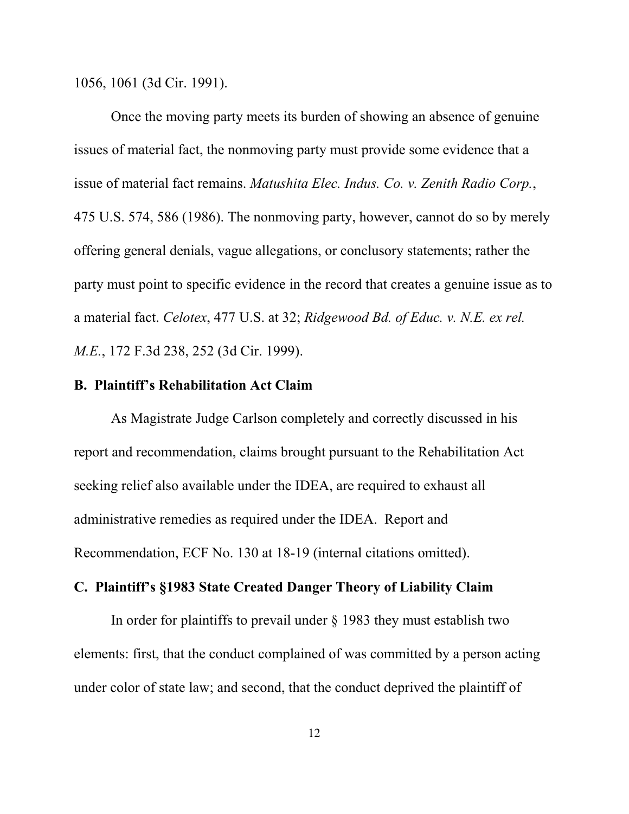1056, 1061 (3d Cir. 1991).

Once the moving party meets its burden of showing an absence of genuine issues of material fact, the nonmoving party must provide some evidence that a issue of material fact remains. *Matushita Elec. Indus. Co. v. Zenith Radio Corp.*, 475 U.S. 574, 586 (1986). The nonmoving party, however, cannot do so by merely offering general denials, vague allegations, or conclusory statements; rather the party must point to specific evidence in the record that creates a genuine issue as to a material fact. *Celotex*, 477 U.S. at 32; *Ridgewood Bd. of Educ. v. N.E. ex rel. M.E.*, 172 F.3d 238, 252 (3d Cir. 1999).

#### **B. Plaintiff's Rehabilitation Act Claim**

As Magistrate Judge Carlson completely and correctly discussed in his report and recommendation, claims brought pursuant to the Rehabilitation Act seeking relief also available under the IDEA, are required to exhaust all administrative remedies as required under the IDEA. Report and Recommendation, ECF No. 130 at 18-19 (internal citations omitted).

## **C. Plaintiff's §1983 State Created Danger Theory of Liability Claim**

In order for plaintiffs to prevail under § 1983 they must establish two elements: first, that the conduct complained of was committed by a person acting under color of state law; and second, that the conduct deprived the plaintiff of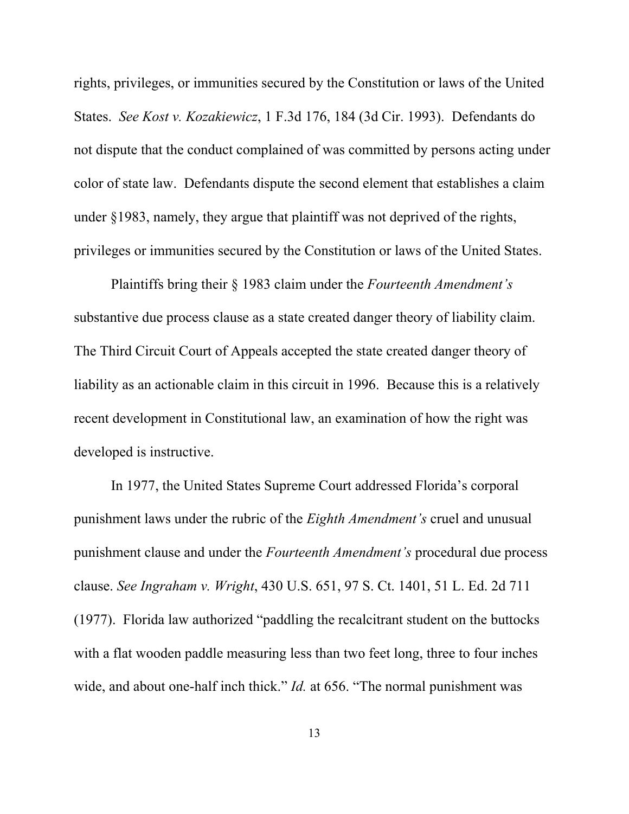rights, privileges, or immunities secured by the Constitution or laws of the United States. *See Kost v. Kozakiewicz*, 1 F.3d 176, 184 (3d Cir. 1993). Defendants do not dispute that the conduct complained of was committed by persons acting under color of state law. Defendants dispute the second element that establishes a claim under §1983, namely, they argue that plaintiff was not deprived of the rights, privileges or immunities secured by the Constitution or laws of the United States.

Plaintiffs bring their § 1983 claim under the *Fourteenth Amendment's* substantive due process clause as a state created danger theory of liability claim. The Third Circuit Court of Appeals accepted the state created danger theory of liability as an actionable claim in this circuit in 1996. Because this is a relatively recent development in Constitutional law, an examination of how the right was developed is instructive.

In 1977, the United States Supreme Court addressed Florida's corporal punishment laws under the rubric of the *Eighth Amendment's* cruel and unusual punishment clause and under the *Fourteenth Amendment's* procedural due process clause. *See Ingraham v. Wright*, 430 U.S. 651, 97 S. Ct. 1401, 51 L. Ed. 2d 711 (1977). Florida law authorized "paddling the recalcitrant student on the buttocks with a flat wooden paddle measuring less than two feet long, three to four inches wide, and about one-half inch thick." *Id.* at 656. "The normal punishment was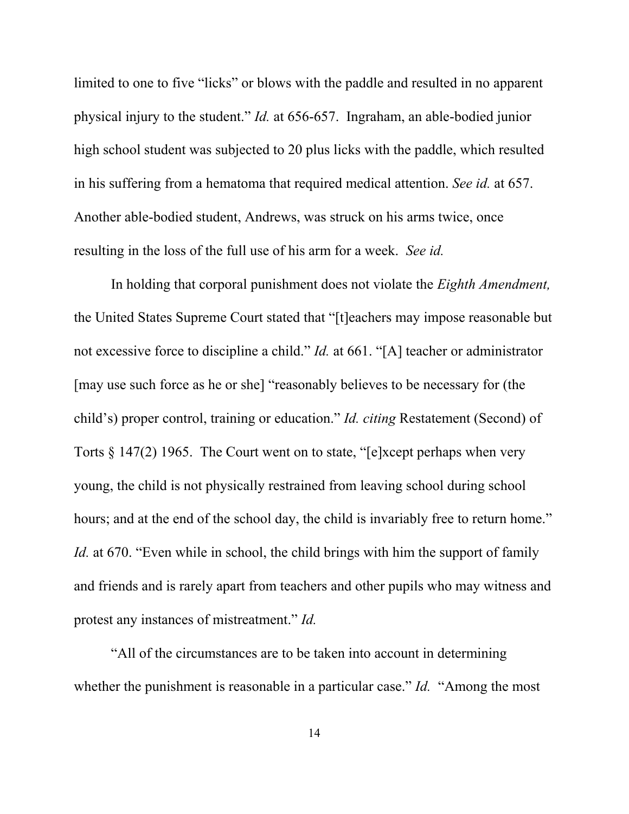limited to one to five "licks" or blows with the paddle and resulted in no apparent physical injury to the student." *Id.* at 656-657. Ingraham, an able-bodied junior high school student was subjected to 20 plus licks with the paddle, which resulted in his suffering from a hematoma that required medical attention. *See id.* at 657. Another able-bodied student, Andrews, was struck on his arms twice, once resulting in the loss of the full use of his arm for a week. *See id.*

In holding that corporal punishment does not violate the *Eighth Amendment,* the United States Supreme Court stated that "[t]eachers may impose reasonable but not excessive force to discipline a child." *Id.* at 661. "[A] teacher or administrator [may use such force as he or she] "reasonably believes to be necessary for (the child's) proper control, training or education." *Id. citing* Restatement (Second) of Torts § 147(2) 1965. The Court went on to state, "[e]xcept perhaps when very young, the child is not physically restrained from leaving school during school hours; and at the end of the school day, the child is invariably free to return home." *Id.* at 670. "Even while in school, the child brings with him the support of family and friends and is rarely apart from teachers and other pupils who may witness and protest any instances of mistreatment." *Id.* 

"All of the circumstances are to be taken into account in determining whether the punishment is reasonable in a particular case." *Id.* "Among the most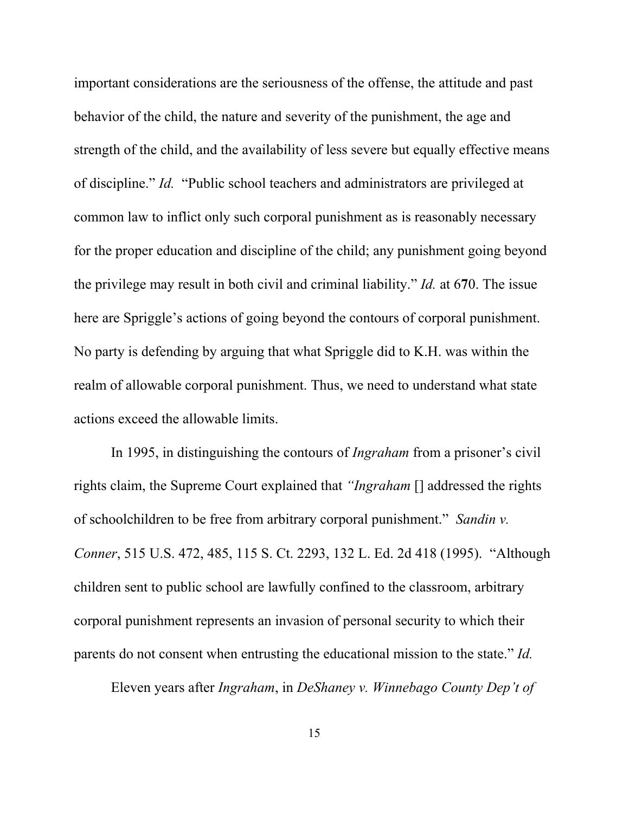important considerations are the seriousness of the offense, the attitude and past behavior of the child, the nature and severity of the punishment, the age and strength of the child, and the availability of less severe but equally effective means of discipline." *Id.* "Public school teachers and administrators are privileged at common law to inflict only such corporal punishment as is reasonably necessary for the proper education and discipline of the child; any punishment going beyond the privilege may result in both civil and criminal liability." *Id.* at 6**7**0. The issue here are Spriggle's actions of going beyond the contours of corporal punishment. No party is defending by arguing that what Spriggle did to K.H. was within the realm of allowable corporal punishment. Thus, we need to understand what state actions exceed the allowable limits.

In 1995, in distinguishing the contours of *Ingraham* from a prisoner's civil rights claim, the Supreme Court explained that *"Ingraham* [] addressed the rights of schoolchildren to be free from arbitrary corporal punishment." *Sandin v. Conner*, 515 U.S. 472, 485, 115 S. Ct. 2293, 132 L. Ed. 2d 418 (1995). "Although children sent to public school are lawfully confined to the classroom, arbitrary corporal punishment represents an invasion of personal security to which their parents do not consent when entrusting the educational mission to the state." *Id.* 

Eleven years after *Ingraham*, in *DeShaney v. Winnebago County Dep't of*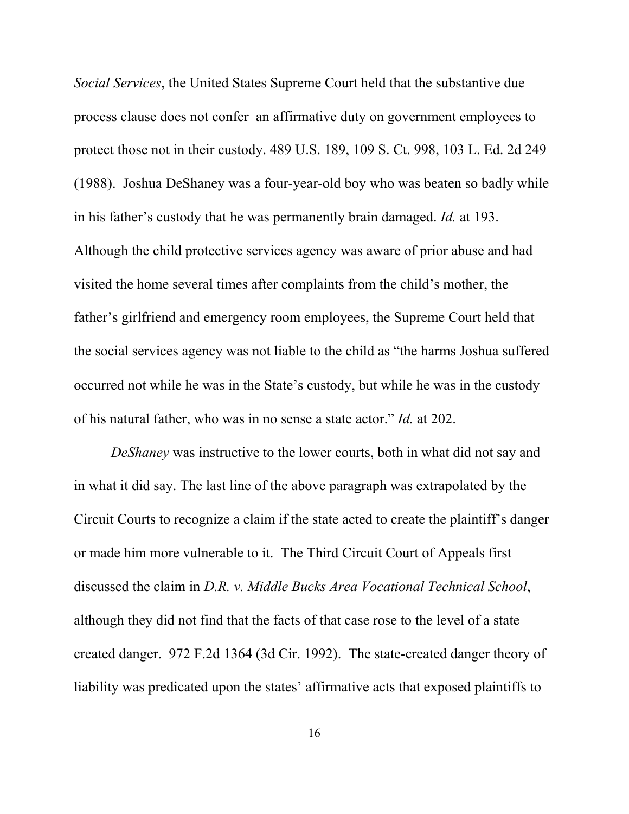*Social Services*, the United States Supreme Court held that the substantive due process clause does not confer an affirmative duty on government employees to protect those not in their custody. 489 U.S. 189, 109 S. Ct. 998, 103 L. Ed. 2d 249 (1988). Joshua DeShaney was a four-year-old boy who was beaten so badly while in his father's custody that he was permanently brain damaged. *Id.* at 193. Although the child protective services agency was aware of prior abuse and had visited the home several times after complaints from the child's mother, the father's girlfriend and emergency room employees, the Supreme Court held that the social services agency was not liable to the child as "the harms Joshua suffered occurred not while he was in the State's custody, but while he was in the custody of his natural father, who was in no sense a state actor." *Id.* at 202.

*DeShaney* was instructive to the lower courts, both in what did not say and in what it did say. The last line of the above paragraph was extrapolated by the Circuit Courts to recognize a claim if the state acted to create the plaintiff's danger or made him more vulnerable to it. The Third Circuit Court of Appeals first discussed the claim in *D.R. v. Middle Bucks Area Vocational Technical School*, although they did not find that the facts of that case rose to the level of a state created danger. 972 F.2d 1364 (3d Cir. 1992). The state-created danger theory of liability was predicated upon the states' affirmative acts that exposed plaintiffs to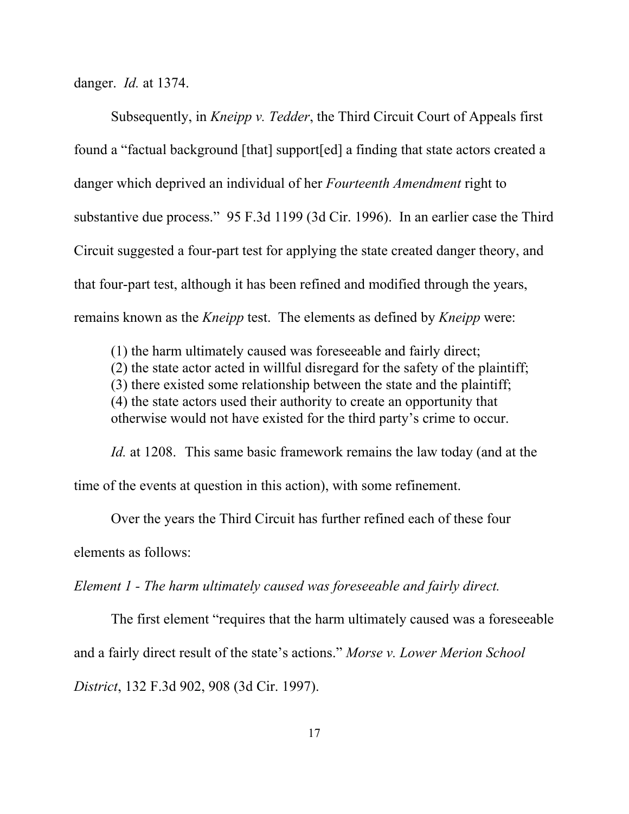danger. *Id.* at 1374.

Subsequently, in *Kneipp v. Tedder*, the Third Circuit Court of Appeals first found a "factual background [that] support[ed] a finding that state actors created a danger which deprived an individual of her *Fourteenth Amendment* right to substantive due process." 95 F.3d 1199 (3d Cir. 1996). In an earlier case the Third Circuit suggested a four-part test for applying the state created danger theory, and that four-part test, although it has been refined and modified through the years, remains known as the *Kneipp* test. The elements as defined by *Kneipp* were:

(1) the harm ultimately caused was foreseeable and fairly direct; (2) the state actor acted in willful disregard for the safety of the plaintiff; (3) there existed some relationship between the state and the plaintiff; (4) the state actors used their authority to create an opportunity that otherwise would not have existed for the third party's crime to occur.

*Id.* at 1208. This same basic framework remains the law today (and at the time of the events at question in this action), with some refinement.

Over the years the Third Circuit has further refined each of these four elements as follows:

*Element 1 - The harm ultimately caused was foreseeable and fairly direct.*

The first element "requires that the harm ultimately caused was a foreseeable and a fairly direct result of the state's actions." *Morse v. Lower Merion School District*, 132 F.3d 902, 908 (3d Cir. 1997).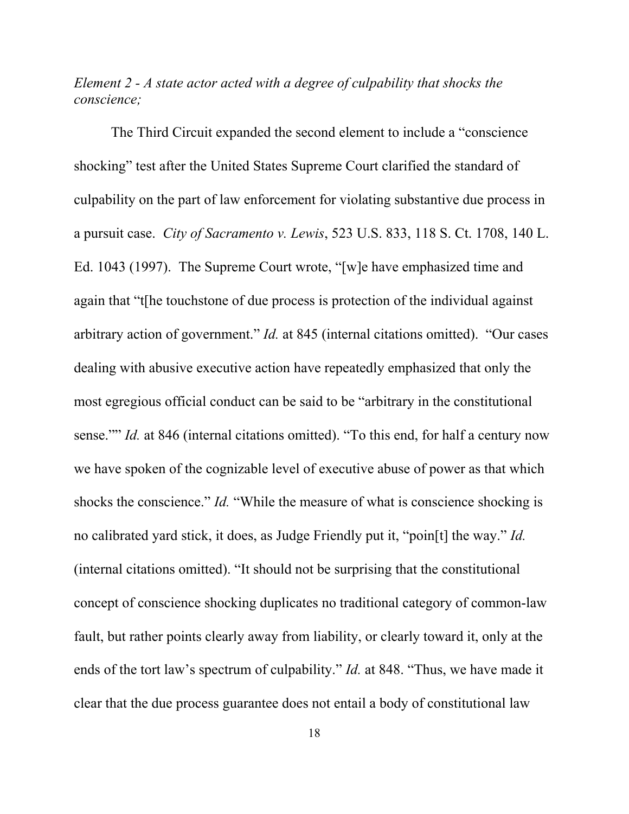*Element 2 - A state actor acted with a degree of culpability that shocks the conscience;* 

The Third Circuit expanded the second element to include a "conscience shocking" test after the United States Supreme Court clarified the standard of culpability on the part of law enforcement for violating substantive due process in a pursuit case. *City of Sacramento v. Lewis*, 523 U.S. 833, 118 S. Ct. 1708, 140 L. Ed. 1043 (1997). The Supreme Court wrote, "[w]e have emphasized time and again that "t[he touchstone of due process is protection of the individual against arbitrary action of government." *Id.* at 845 (internal citations omitted). "Our cases dealing with abusive executive action have repeatedly emphasized that only the most egregious official conduct can be said to be "arbitrary in the constitutional sense."" *Id.* at 846 (internal citations omitted). "To this end, for half a century now we have spoken of the cognizable level of executive abuse of power as that which shocks the conscience." *Id.* "While the measure of what is conscience shocking is no calibrated yard stick, it does, as Judge Friendly put it, "poin[t] the way." *Id.* (internal citations omitted). "It should not be surprising that the constitutional concept of conscience shocking duplicates no traditional category of common-law fault, but rather points clearly away from liability, or clearly toward it, only at the ends of the tort law's spectrum of culpability." *Id.* at 848. "Thus, we have made it clear that the due process guarantee does not entail a body of constitutional law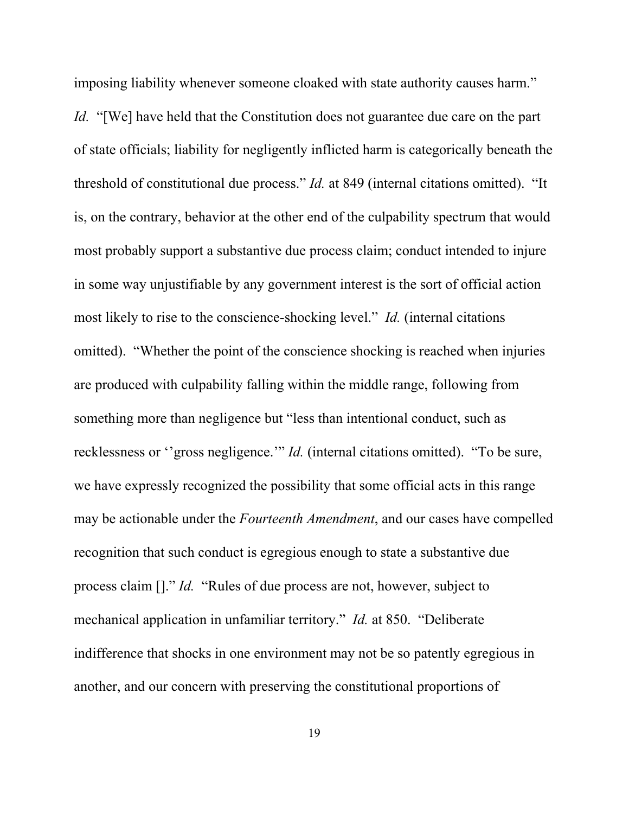imposing liability whenever someone cloaked with state authority causes harm."

*Id.* "[We] have held that the Constitution does not guarantee due care on the part of state officials; liability for negligently inflicted harm is categorically beneath the threshold of constitutional due process." *Id.* at 849 (internal citations omitted). "It is, on the contrary, behavior at the other end of the culpability spectrum that would most probably support a substantive due process claim; conduct intended to injure in some way unjustifiable by any government interest is the sort of official action most likely to rise to the conscience-shocking level." *Id.* (internal citations omitted). "Whether the point of the conscience shocking is reached when injuries are produced with culpability falling within the middle range, following from something more than negligence but "less than intentional conduct, such as recklessness or ''gross negligence.'" *Id.* (internal citations omitted). "To be sure, we have expressly recognized the possibility that some official acts in this range may be actionable under the *Fourteenth Amendment*, and our cases have compelled recognition that such conduct is egregious enough to state a substantive due process claim []." *Id.* "Rules of due process are not, however, subject to mechanical application in unfamiliar territory." *Id.* at 850. "Deliberate indifference that shocks in one environment may not be so patently egregious in another, and our concern with preserving the constitutional proportions of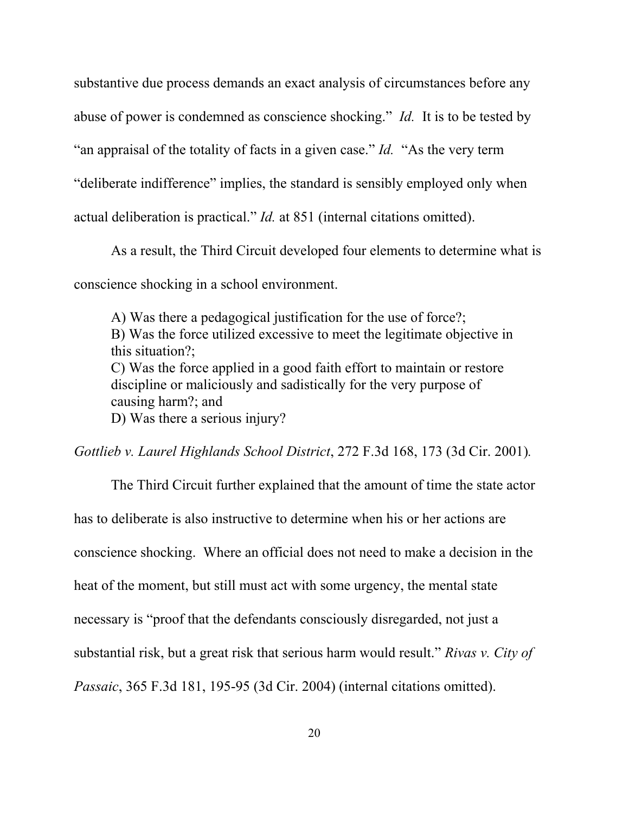substantive due process demands an exact analysis of circumstances before any

abuse of power is condemned as conscience shocking." *Id.* It is to be tested by

"an appraisal of the totality of facts in a given case." *Id.* "As the very term

"deliberate indifference" implies, the standard is sensibly employed only when

actual deliberation is practical." *Id.* at 851 (internal citations omitted).

As a result, the Third Circuit developed four elements to determine what is conscience shocking in a school environment.

A) Was there a pedagogical justification for the use of force?; B) Was the force utilized excessive to meet the legitimate objective in this situation?; C) Was the force applied in a good faith effort to maintain or restore discipline or maliciously and sadistically for the very purpose of causing harm?; and D) Was there a serious injury?

*Gottlieb v. Laurel Highlands School District*, 272 F.3d 168, 173 (3d Cir. 2001)*.*

The Third Circuit further explained that the amount of time the state actor has to deliberate is also instructive to determine when his or her actions are conscience shocking. Where an official does not need to make a decision in the heat of the moment, but still must act with some urgency, the mental state necessary is "proof that the defendants consciously disregarded, not just a substantial risk, but a great risk that serious harm would result." *Rivas v. City of Passaic*, 365 F.3d 181, 195-95 (3d Cir. 2004) (internal citations omitted).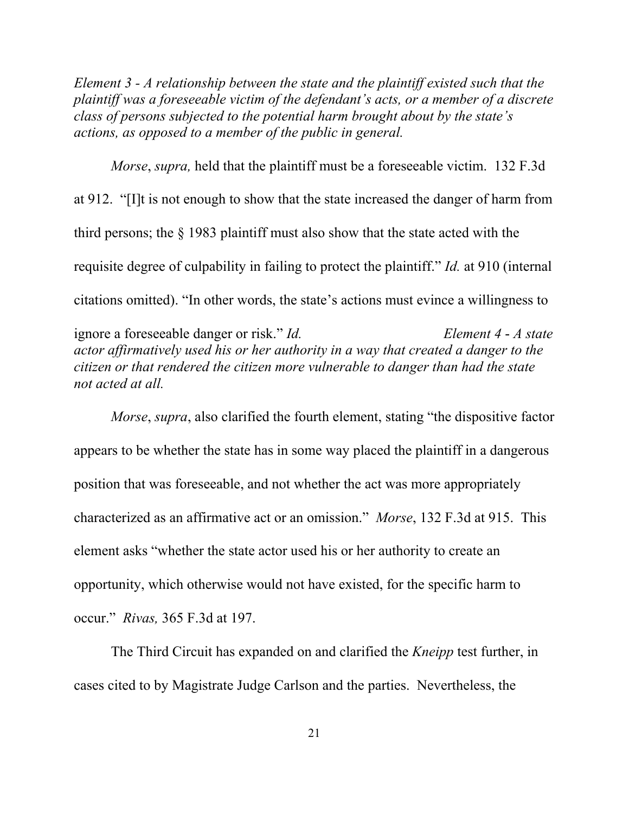*Element 3 - A relationship between the state and the plaintiff existed such that the plaintiff was a foreseeable victim of the defendant's acts, or a member of a discrete class of persons subjected to the potential harm brought about by the state's actions, as opposed to a member of the public in general.* 

*Morse*, *supra,* held that the plaintiff must be a foreseeable victim. 132 F.3d at 912. "[I]t is not enough to show that the state increased the danger of harm from third persons; the § 1983 plaintiff must also show that the state acted with the requisite degree of culpability in failing to protect the plaintiff." *Id.* at 910 (internal citations omitted). "In other words, the state's actions must evince a willingness to

ignore a foreseeable danger or risk." *Id. Element 4* - *A state actor affirmatively used his or her authority in a way that created a danger to the citizen or that rendered the citizen more vulnerable to danger than had the state not acted at all.* 

*Morse*, *supra*, also clarified the fourth element, stating "the dispositive factor appears to be whether the state has in some way placed the plaintiff in a dangerous position that was foreseeable, and not whether the act was more appropriately characterized as an affirmative act or an omission." *Morse*, 132 F.3d at 915. This element asks "whether the state actor used his or her authority to create an opportunity, which otherwise would not have existed, for the specific harm to occur." *Rivas,* 365 F.3d at 197.

The Third Circuit has expanded on and clarified the *Kneipp* test further, in cases cited to by Magistrate Judge Carlson and the parties. Nevertheless, the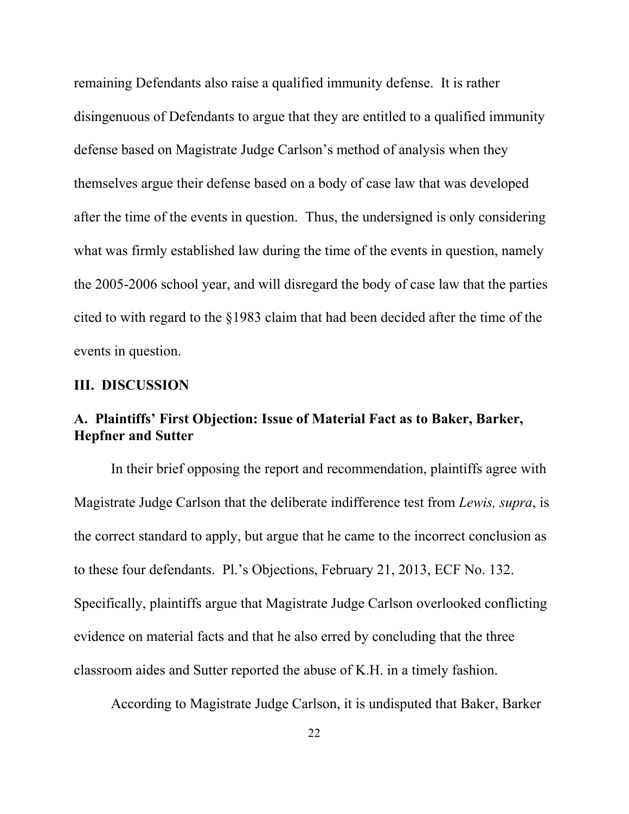remaining Defendants also raise a qualified immunity defense. It is rather disingenuous of Defendants to argue that they are entitled to a qualified immunity defense based on Magistrate Judge Carlson's method of analysis when they themselves argue their defense based on a body of case law that was developed after the time of the events in question. Thus, the undersigned is only considering what was firmly established law during the time of the events in question, namely the 2005-2006 school year, and will disregard the body of case law that the parties cited to with regard to the §1983 claim that had been decided after the time of the events in question.

### **III. DISCUSSION**

## **A. Plaintiffs' First Objection: Issue of Material Fact as to Baker, Barker, Hepfner and Sutter**

In their brief opposing the report and recommendation, plaintiffs agree with Magistrate Judge Carlson that the deliberate indifference test from *Lewis, supra*, is the correct standard to apply, but argue that he came to the incorrect conclusion as to these four defendants. Pl.'s Objections, February 21, 2013, ECF No. 132. Specifically, plaintiffs argue that Magistrate Judge Carlson overlooked conflicting evidence on material facts and that he also erred by concluding that the three classroom aides and Sutter reported the abuse of K.H. in a timely fashion.

According to Magistrate Judge Carlson, it is undisputed that Baker, Barker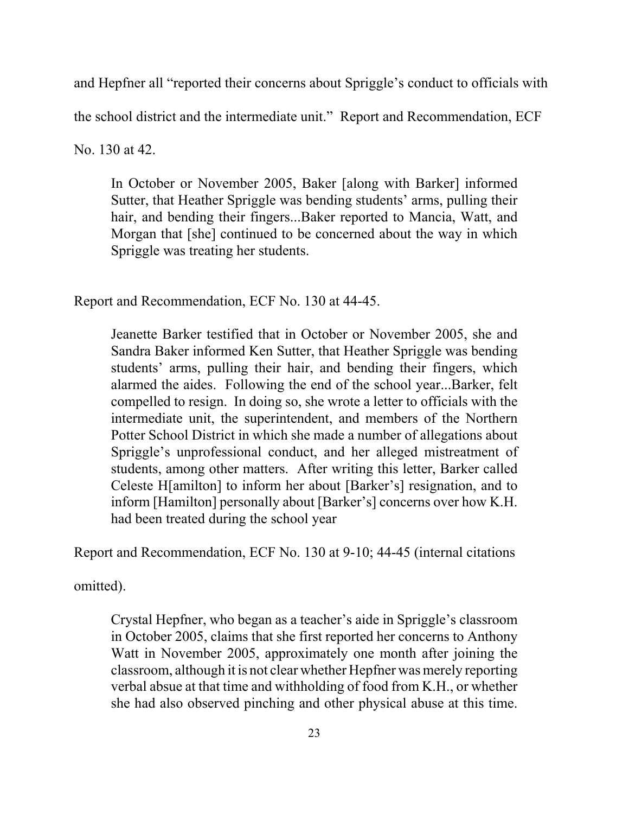and Hepfner all "reported their concerns about Spriggle's conduct to officials with

the school district and the intermediate unit." Report and Recommendation, ECF

No. 130 at 42.

In October or November 2005, Baker [along with Barker] informed Sutter, that Heather Spriggle was bending students' arms, pulling their hair, and bending their fingers...Baker reported to Mancia, Watt, and Morgan that [she] continued to be concerned about the way in which Spriggle was treating her students.

Report and Recommendation, ECF No. 130 at 44-45.

Jeanette Barker testified that in October or November 2005, she and Sandra Baker informed Ken Sutter, that Heather Spriggle was bending students' arms, pulling their hair, and bending their fingers, which alarmed the aides. Following the end of the school year...Barker, felt compelled to resign. In doing so, she wrote a letter to officials with the intermediate unit, the superintendent, and members of the Northern Potter School District in which she made a number of allegations about Spriggle's unprofessional conduct, and her alleged mistreatment of students, among other matters. After writing this letter, Barker called Celeste H[amilton] to inform her about [Barker's] resignation, and to inform [Hamilton] personally about [Barker's] concerns over how K.H. had been treated during the school year

Report and Recommendation, ECF No. 130 at 9-10; 44-45 (internal citations

omitted).

Crystal Hepfner, who began as a teacher's aide in Spriggle's classroom in October 2005, claims that she first reported her concerns to Anthony Watt in November 2005, approximately one month after joining the classroom, although it is not clear whether Hepfner was merely reporting verbal absue at that time and withholding of food from K.H., or whether she had also observed pinching and other physical abuse at this time.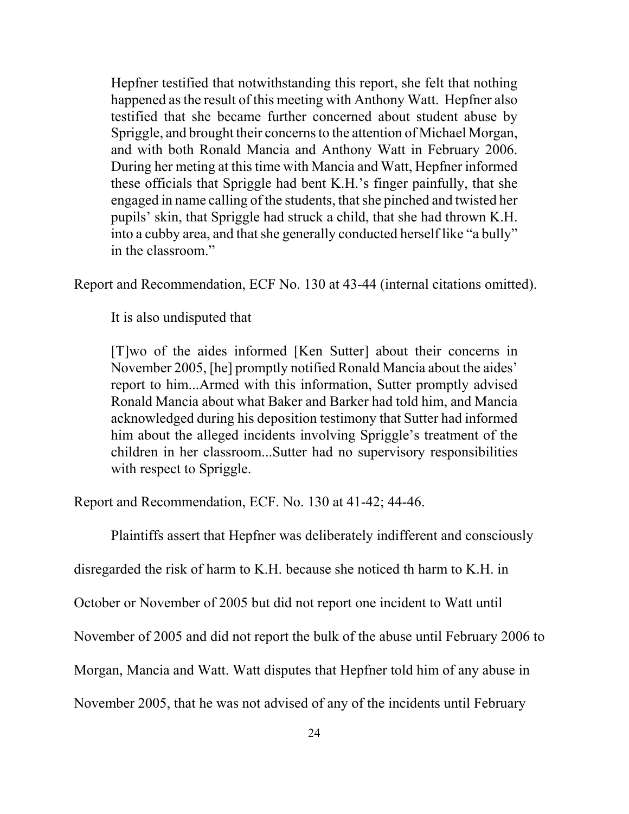Hepfner testified that notwithstanding this report, she felt that nothing happened as the result of this meeting with Anthony Watt. Hepfner also testified that she became further concerned about student abuse by Spriggle, and brought their concerns to the attention of Michael Morgan, and with both Ronald Mancia and Anthony Watt in February 2006. During her meting at this time with Mancia and Watt, Hepfner informed these officials that Spriggle had bent K.H.'s finger painfully, that she engaged in name calling of the students, that she pinched and twisted her pupils' skin, that Spriggle had struck a child, that she had thrown K.H. into a cubby area, and that she generally conducted herself like "a bully" in the classroom."

Report and Recommendation, ECF No. 130 at 43-44 (internal citations omitted).

It is also undisputed that

[T]wo of the aides informed [Ken Sutter] about their concerns in November 2005, [he] promptly notified Ronald Mancia about the aides' report to him...Armed with this information, Sutter promptly advised Ronald Mancia about what Baker and Barker had told him, and Mancia acknowledged during his deposition testimony that Sutter had informed him about the alleged incidents involving Spriggle's treatment of the children in her classroom...Sutter had no supervisory responsibilities with respect to Spriggle.

Report and Recommendation, ECF. No. 130 at 41-42; 44-46.

Plaintiffs assert that Hepfner was deliberately indifferent and consciously

disregarded the risk of harm to K.H. because she noticed th harm to K.H. in

October or November of 2005 but did not report one incident to Watt until

November of 2005 and did not report the bulk of the abuse until February 2006 to

Morgan, Mancia and Watt. Watt disputes that Hepfner told him of any abuse in

November 2005, that he was not advised of any of the incidents until February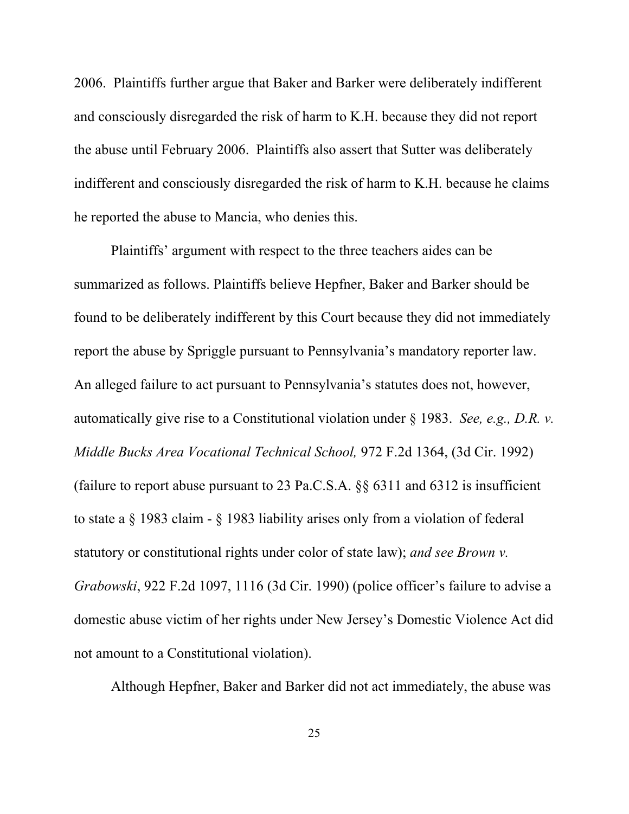2006. Plaintiffs further argue that Baker and Barker were deliberately indifferent and consciously disregarded the risk of harm to K.H. because they did not report the abuse until February 2006. Plaintiffs also assert that Sutter was deliberately indifferent and consciously disregarded the risk of harm to K.H. because he claims he reported the abuse to Mancia, who denies this.

Plaintiffs' argument with respect to the three teachers aides can be summarized as follows. Plaintiffs believe Hepfner, Baker and Barker should be found to be deliberately indifferent by this Court because they did not immediately report the abuse by Spriggle pursuant to Pennsylvania's mandatory reporter law. An alleged failure to act pursuant to Pennsylvania's statutes does not, however, automatically give rise to a Constitutional violation under § 1983. *See, e.g., D.R. v. Middle Bucks Area Vocational Technical School,* 972 F.2d 1364, (3d Cir. 1992) (failure to report abuse pursuant to 23 Pa.C.S.A. §§ 6311 and 6312 is insufficient to state a § 1983 claim - § 1983 liability arises only from a violation of federal statutory or constitutional rights under color of state law); *and see Brown v. Grabowski*, 922 F.2d 1097, 1116 (3d Cir. 1990) (police officer's failure to advise a domestic abuse victim of her rights under New Jersey's Domestic Violence Act did not amount to a Constitutional violation).

Although Hepfner, Baker and Barker did not act immediately, the abuse was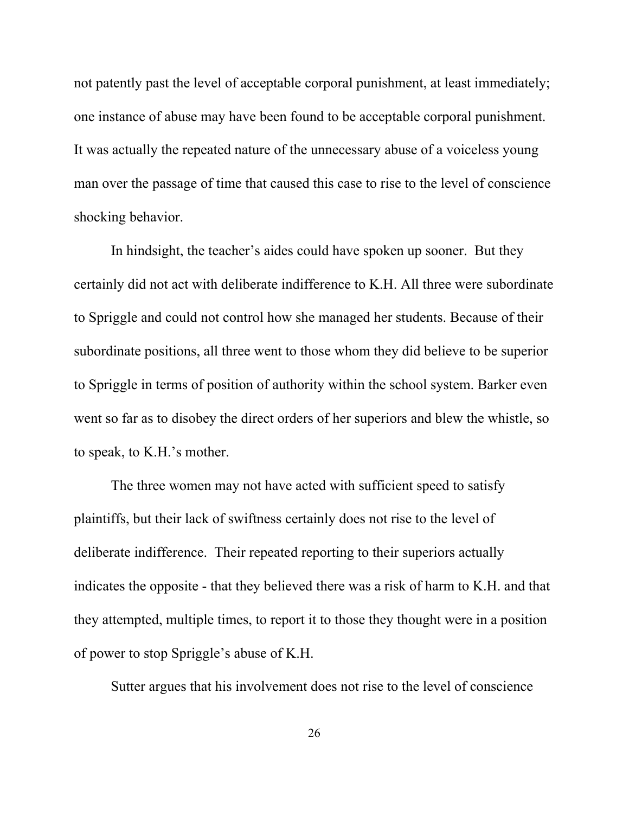not patently past the level of acceptable corporal punishment, at least immediately; one instance of abuse may have been found to be acceptable corporal punishment. It was actually the repeated nature of the unnecessary abuse of a voiceless young man over the passage of time that caused this case to rise to the level of conscience shocking behavior.

In hindsight, the teacher's aides could have spoken up sooner. But they certainly did not act with deliberate indifference to K.H. All three were subordinate to Spriggle and could not control how she managed her students. Because of their subordinate positions, all three went to those whom they did believe to be superior to Spriggle in terms of position of authority within the school system. Barker even went so far as to disobey the direct orders of her superiors and blew the whistle, so to speak, to K.H.'s mother.

The three women may not have acted with sufficient speed to satisfy plaintiffs, but their lack of swiftness certainly does not rise to the level of deliberate indifference. Their repeated reporting to their superiors actually indicates the opposite - that they believed there was a risk of harm to K.H. and that they attempted, multiple times, to report it to those they thought were in a position of power to stop Spriggle's abuse of K.H.

Sutter argues that his involvement does not rise to the level of conscience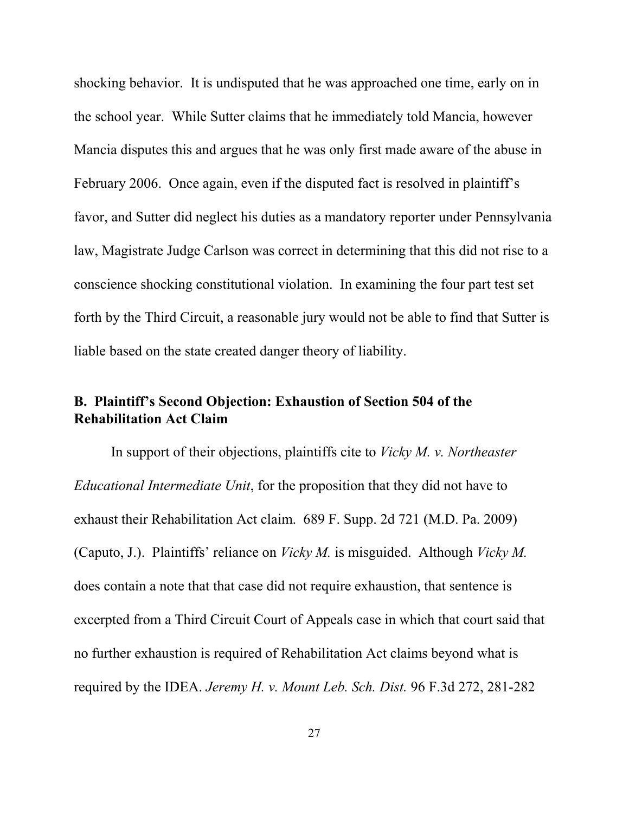shocking behavior. It is undisputed that he was approached one time, early on in the school year. While Sutter claims that he immediately told Mancia, however Mancia disputes this and argues that he was only first made aware of the abuse in February 2006. Once again, even if the disputed fact is resolved in plaintiff's favor, and Sutter did neglect his duties as a mandatory reporter under Pennsylvania law, Magistrate Judge Carlson was correct in determining that this did not rise to a conscience shocking constitutional violation. In examining the four part test set forth by the Third Circuit, a reasonable jury would not be able to find that Sutter is liable based on the state created danger theory of liability.

## **B. Plaintiff's Second Objection: Exhaustion of Section 504 of the Rehabilitation Act Claim**

In support of their objections, plaintiffs cite to *Vicky M. v. Northeaster Educational Intermediate Unit*, for the proposition that they did not have to exhaust their Rehabilitation Act claim. 689 F. Supp. 2d 721 (M.D. Pa. 2009) (Caputo, J.). Plaintiffs' reliance on *Vicky M.* is misguided. Although *Vicky M.* does contain a note that that case did not require exhaustion, that sentence is excerpted from a Third Circuit Court of Appeals case in which that court said that no further exhaustion is required of Rehabilitation Act claims beyond what is required by the IDEA. *Jeremy H. v. Mount Leb. Sch. Dist.* 96 F.3d 272, 281-282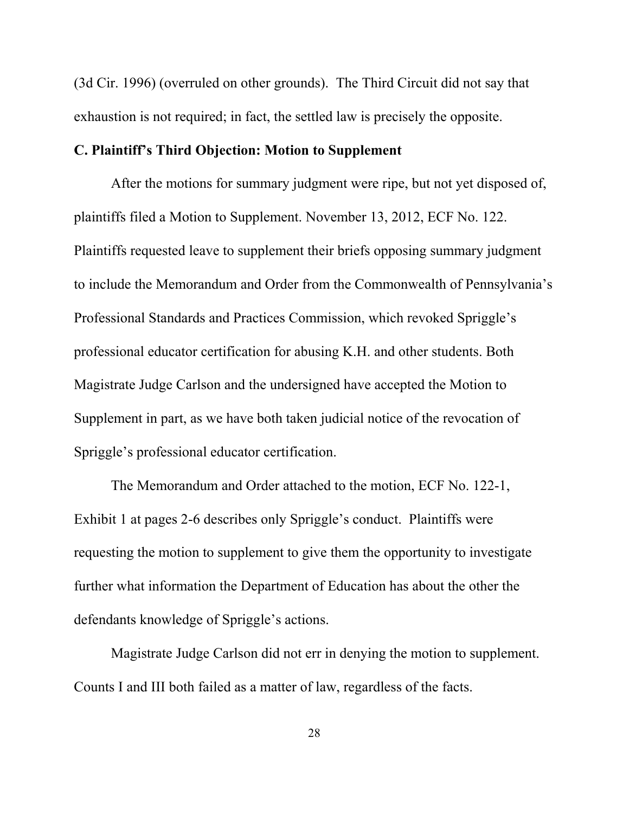(3d Cir. 1996) (overruled on other grounds). The Third Circuit did not say that exhaustion is not required; in fact, the settled law is precisely the opposite.

### **C. Plaintiff's Third Objection: Motion to Supplement**

After the motions for summary judgment were ripe, but not yet disposed of, plaintiffs filed a Motion to Supplement. November 13, 2012, ECF No. 122. Plaintiffs requested leave to supplement their briefs opposing summary judgment to include the Memorandum and Order from the Commonwealth of Pennsylvania's Professional Standards and Practices Commission, which revoked Spriggle's professional educator certification for abusing K.H. and other students. Both Magistrate Judge Carlson and the undersigned have accepted the Motion to Supplement in part, as we have both taken judicial notice of the revocation of Spriggle's professional educator certification.

The Memorandum and Order attached to the motion, ECF No. 122-1, Exhibit 1 at pages 2-6 describes only Spriggle's conduct. Plaintiffs were requesting the motion to supplement to give them the opportunity to investigate further what information the Department of Education has about the other the defendants knowledge of Spriggle's actions.

Magistrate Judge Carlson did not err in denying the motion to supplement. Counts I and III both failed as a matter of law, regardless of the facts.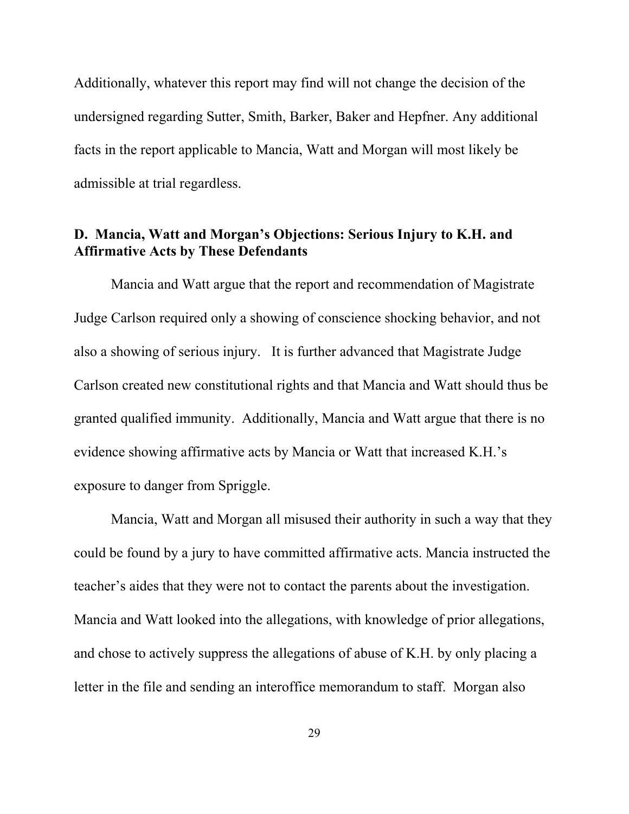Additionally, whatever this report may find will not change the decision of the undersigned regarding Sutter, Smith, Barker, Baker and Hepfner. Any additional facts in the report applicable to Mancia, Watt and Morgan will most likely be admissible at trial regardless.

## **D. Mancia, Watt and Morgan's Objections: Serious Injury to K.H. and Affirmative Acts by These Defendants**

Mancia and Watt argue that the report and recommendation of Magistrate Judge Carlson required only a showing of conscience shocking behavior, and not also a showing of serious injury. It is further advanced that Magistrate Judge Carlson created new constitutional rights and that Mancia and Watt should thus be granted qualified immunity. Additionally, Mancia and Watt argue that there is no evidence showing affirmative acts by Mancia or Watt that increased K.H.'s exposure to danger from Spriggle.

Mancia, Watt and Morgan all misused their authority in such a way that they could be found by a jury to have committed affirmative acts. Mancia instructed the teacher's aides that they were not to contact the parents about the investigation. Mancia and Watt looked into the allegations, with knowledge of prior allegations, and chose to actively suppress the allegations of abuse of K.H. by only placing a letter in the file and sending an interoffice memorandum to staff. Morgan also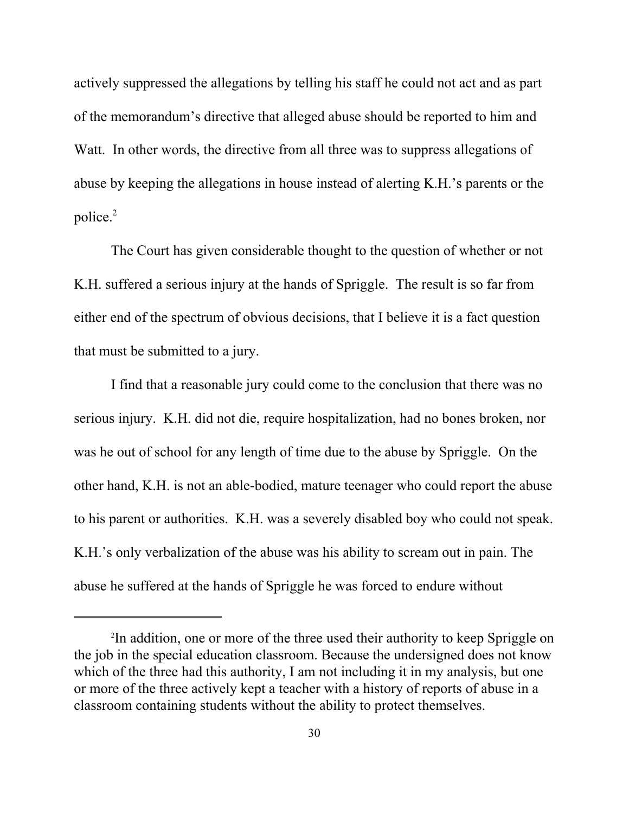actively suppressed the allegations by telling his staff he could not act and as part of the memorandum's directive that alleged abuse should be reported to him and Watt. In other words, the directive from all three was to suppress allegations of abuse by keeping the allegations in house instead of alerting K.H.'s parents or the police.2

 The Court has given considerable thought to the question of whether or not K.H. suffered a serious injury at the hands of Spriggle. The result is so far from either end of the spectrum of obvious decisions, that I believe it is a fact question that must be submitted to a jury.

I find that a reasonable jury could come to the conclusion that there was no serious injury. K.H. did not die, require hospitalization, had no bones broken, nor was he out of school for any length of time due to the abuse by Spriggle. On the other hand, K.H. is not an able-bodied, mature teenager who could report the abuse to his parent or authorities. K.H. was a severely disabled boy who could not speak. K.H.'s only verbalization of the abuse was his ability to scream out in pain. The abuse he suffered at the hands of Spriggle he was forced to endure without

<sup>2</sup> In addition, one or more of the three used their authority to keep Spriggle on the job in the special education classroom. Because the undersigned does not know which of the three had this authority, I am not including it in my analysis, but one or more of the three actively kept a teacher with a history of reports of abuse in a classroom containing students without the ability to protect themselves.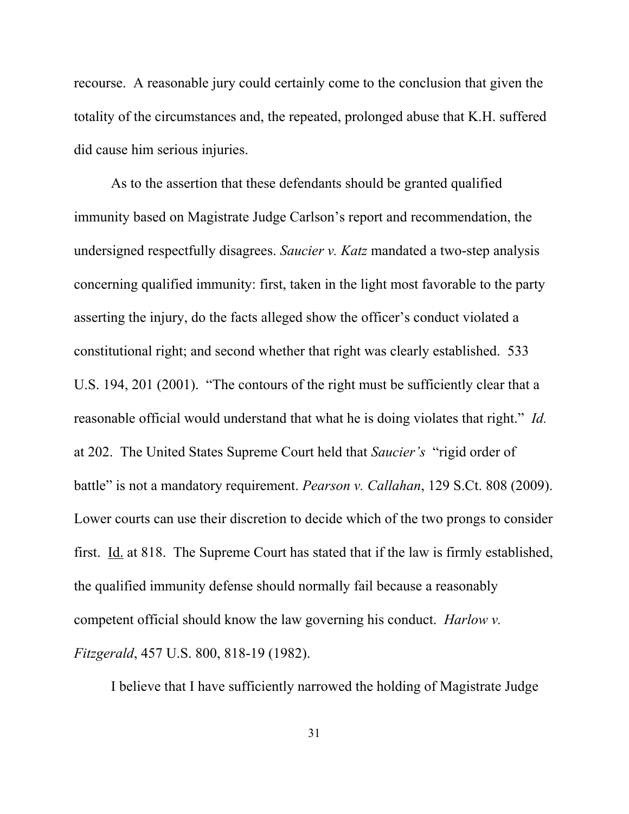recourse. A reasonable jury could certainly come to the conclusion that given the totality of the circumstances and, the repeated, prolonged abuse that K.H. suffered did cause him serious injuries.

As to the assertion that these defendants should be granted qualified immunity based on Magistrate Judge Carlson's report and recommendation, the undersigned respectfully disagrees. *Saucier v. Katz* mandated a two-step analysis concerning qualified immunity: first, taken in the light most favorable to the party asserting the injury, do the facts alleged show the officer's conduct violated a constitutional right; and second whether that right was clearly established. 533 U.S. 194, 201 (2001). "The contours of the right must be sufficiently clear that a reasonable official would understand that what he is doing violates that right." *Id.* at 202. The United States Supreme Court held that *Saucier's* "rigid order of battle" is not a mandatory requirement. *Pearson v. Callahan*, 129 S.Ct. 808 (2009). Lower courts can use their discretion to decide which of the two prongs to consider first. Id. at 818. The Supreme Court has stated that if the law is firmly established, the qualified immunity defense should normally fail because a reasonably competent official should know the law governing his conduct. *Harlow v. Fitzgerald*, 457 U.S. 800, 818-19 (1982).

I believe that I have sufficiently narrowed the holding of Magistrate Judge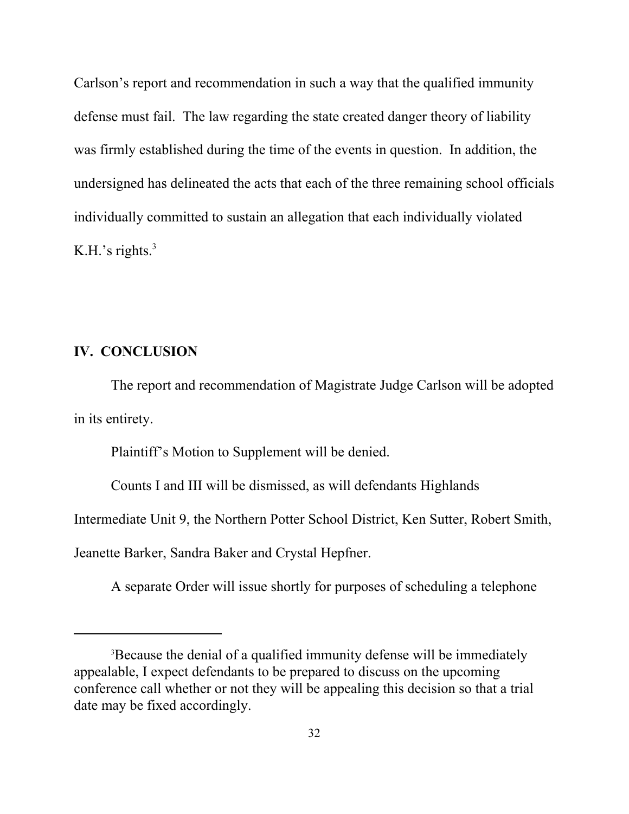Carlson's report and recommendation in such a way that the qualified immunity defense must fail. The law regarding the state created danger theory of liability was firmly established during the time of the events in question. In addition, the undersigned has delineated the acts that each of the three remaining school officials individually committed to sustain an allegation that each individually violated K.H.'s rights. $3$ 

### **IV. CONCLUSION**

The report and recommendation of Magistrate Judge Carlson will be adopted in its entirety.

Plaintiff's Motion to Supplement will be denied.

Counts I and III will be dismissed, as will defendants Highlands

Intermediate Unit 9, the Northern Potter School District, Ken Sutter, Robert Smith,

Jeanette Barker, Sandra Baker and Crystal Hepfner.

A separate Order will issue shortly for purposes of scheduling a telephone

<sup>&</sup>lt;sup>3</sup>Because the denial of a qualified immunity defense will be immediately appealable, I expect defendants to be prepared to discuss on the upcoming conference call whether or not they will be appealing this decision so that a trial date may be fixed accordingly.